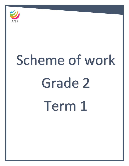

# Scheme of work Grade 2 Term 1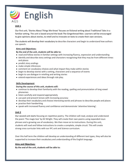

# **Unit 1**

Our first unit, 'Stories About Things We Know' focuses on fictional writing about Traditional Tales in a familiar setting. The unit is based around the book The Gingerbread Man. Learners will be encouraged to give opinions about stories, to retell and to innovate on texts to create their own versions.

The students will develop their vocabulary to describe characters and begin to understand how authors use speech.

#### **Aims and Objectives:**

#### **By the end of the unit, students will be able to:**

- read and follow stories in familiar settings with increasing fluency, expression and understanding
- identify and describe story settings and characters recognising that they may be from different times and places
- predict story endings
- make simple inferences
- comment on vocabulary choices and what impact they make within stories
- begin to develop stories with a setting, characters and a sequence of events
- begin to use dialogue in retelling and writing stories
- extend experiences and ideas through role play.

#### **Skills Development**

#### **During the course of this unit, students will:**

- continue to develop their familiarity with the reading, spelling and pronunciation of long vowel phonemes
- listen carefully and respond appropriately
- use past and present tenses with increasing accuracy
- develop their vocabulary and choose interesting words and phrases to describe people and places
- practise their handwriting
- speak with increased fluency and confidence and demonstrate 'attentive listening'.

#### **Unit 2**

Our second unit starts focusing on repetitive poetry. The children will read, analyse and understand the poem 'The magic box' by Kit Wright. They will create their own poems using expanded noun phrases and a growing use of vocabulary. We then move on to instructions. During this unit, students will read and follow instructions to create a complete, simple circuit. This will create strong cross curricular links with our IPC unit and Science curriculum.

Over this half term the children will develop an understanding of different text types, they will also be supported to increase their vocabulary and understanding of the English language.

#### **Aims and Objectives:**

**By the end of the unit, students will be able to:**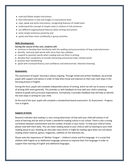- read and follow simple instructions
- find information in text and images in instructional texts
- read, speak and write instructions, recognising features of model texts
- understand the concept of simple notes in relation to full sentences
- use different organisational features when writing instructions
- write simple sentences joined by and
- speak and listen more confidently in group activities.

#### **Skills Development:**

#### **During the course of this unit, students will:**

- continue to develop their familiarity with the spelling and pronunciation of long vowel phonemes
- identify, read and spell words with more than two syllables
- respond to question words when reading and use them in writing
- develop their vocabulary to include interesting and precise topic-related words
- practise their handwriting
- speak with increased fluency and confidence and demonstrate 'attentive listening'.

#### **Assessment:**

The assessment of pupils' learning is always ongoing. Through verbal and written feedback, we provide pupils with support and advice in order to help them know and improve on their own next steps in the learning process in English.

During the term, pupils will complete independent pieces of writing, which we will use to assess a range of writing skills more generally. This provides us with feedback on how well your child is attaining relative to grade and curriculum expectations. Formatively, it provides feedback that will help us identify the next steps in writing for your child.

At the end of the year, pupils will complete a standardized based assessment: GL Assessment - Progress Test in English.

#### **Support at home:**

Research indicates that reading is a very strong determiner of how well your child will achieve in all areas of learning and we wish to foster a wonderful reading culture in our school. There is also a strong correlation between achievement and the number of books in your home. To help your child at home, please read with them daily. This can mean reading aloud to your child as well as listening to your child reading aloud to you. Reading can also take many forms; it might be reading signs when out and about, reading online material, games, magazines, subtitles on the television etc.

Please note the importance of 'Mother Tongue' – children's home and first language. It is crucial that children with English as an Additional Language continue to improve their first language in order to support their learning of English and additional languages.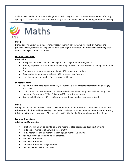Children also need to learn their spellings (or sounds) daily and then continue to revise them after any spelling assessments or dictations to ensure they have embedded an ever increasing number of spelling



# Maths

# **Unit 1**

During our first unit of learning, covering most of the first half term, we will work on number and problem solving, focusing on the place value of each digit in a number. Children will be extending their understanding of number up to 100.

# **Learning Objectives:**

# **Place Value**

- Recognise the place value of each digit in a two-digit number (tens, ones).
- Identify, represent and estimate numbers using different representations, including the number line.
- Compare and order numbers from 0 up to 100 using > < and = signs.
- Read and write numbers to at least 100 in numerals and in words.
- Use place value and number facts to solve problems.

# **Support at home**

- Ask your child to read house numbers, car number plates, contents information on packaging and so on.
- Look out for numbers between 10 and 99 and talk about how many tens and how many ones there are. For example, 57 has 5 five tens (fifty) and 7 ones (seven)
- Ask your child what is 1, 10 or 100 more or less than a number they have noticed.

# **Unit 2**

During our second unit, we will continue to work on number and use this to help us with addition and subtraction. Children will be extending their understanding of number sense and mental methods, using this to help them solve problems. This unit will start just before half term and continue into the next.

# **Learning Objectives:**

# **Addition and Subtraction**

- Partition all numbers to 20 into pairs and record related addition and subtraction facts.
- Find pairs of multiples of 10 with a total of 100
- Find 1 more/less and 10 more/less than a given number up to 100.
- Add four or five one-digit numbers together.
- Add and subtract ones.
- Add and subtract tens.
- Add and subtract two 2-digit numbers
- Use the inverse to check answers.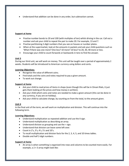Understand that addition can be done in any order, but subtraction cannot.

#### **Support at home**

- Practise number bonds to 20 and 100 (with multiples of ten) whilst driving in the car. Call out a number and ask your child to repeat the pair to make 20. For example, 13 and 7.
- Practise partitioning 2-digit numbers that you see on houses or number plates.
- When at the supermarket, look at the amounts in packets and ask your child questions such as 'What if there was one more? One less? 10 more? 10 less? to 20, 30, 40 more or less.
- Encourage your child to count forwards or backwards in tens to find the answer.

#### **Unit 3**

During our third unit, we will work on money. This unit will be taught over a period of approximately 2 weeks. Students will be introduced to American currency using dollars and cents.

#### **Learning Objectives:**

- Recognise the value of different coins.
- Find totals and the coins and notes required to pay a given amount.
- To work out change.

# **Support at home**

- Ask your child to read prices of items in shops (even though this will be in Omani Rials, it just gets them looking at the prices and how money is written).
- Ask your child which coins and notes are needed to make a given amount (this can be done in any currency, if you are on holiday).
- Ask your child to calculate change, by counting on from the total, to the amount given.

# **Unit 4**

In the final unit of the term, we will work on multiplication and division. This will continue into the following term.

#### **Learning Objectives:**

- Understand multiplication as repeated addition and use the X sign.
- Understand multiplication as describing an array.
- $\bullet$  Understand division as grouping and use the  $\div$  sign.
- Understand that division can leave some left over.
- Count in  $2's$ ,  $3's$ ,  $4's$ ,  $5's$  and  $10's$ .
- To recall multiplication and division facts for the 2, 3, 4, 5, and 10 times tables.
- Double and half 2-digit numbers.

#### **Support at home**

 An array is when something is organised into rows and columns to be counted more easily. For example, a 2 × 3 array might look like: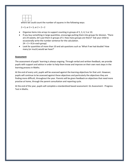

where we could count the number of squares in the following ways:

 $2 \times 3$ , or  $3 + 3$ , or  $2 + 2 + 2$ 

- Organise items into arrays to support counting in groups of 2, 3, 4, 5 or 10.
- If you buy something in large quantities, encourage putting them into groups for division. 'There are 24 sweets, let's put them in groups of 3. How many groups are there?' Ask your child to occasionally write the number sentence for the calculation.  $24 \div 3 = 8$  (in each group)
- Look for quantities of more than 10 and ask questions such as 'What if we had double? How many (or much) would we have?'

#### **Assessment**

The assessment of pupils' learning is always ongoing. Through verbal and written feedback, we provide pupils with support and advice in order to help them know and improve on their own next steps in the learning process in Maths.

At the end of every unit, pupils will be assessed against the learning objectives for that unit. However, pupils will continue to be assessed against these objectives and particularly the objectives they are finding more difficult, throughout the year. Parents will be given feedback on objectives that need more practise at home, through the parent consultation and reporting cycle.

At the end of the year, pupils will complete a standardized based assessment: GL Assessment - Progress Test in Maths.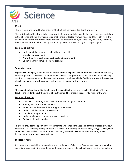

# **Unit 1**

The first unit, which will be taught over the first half term is called 'Light and Dark'.

This unit teaches the students to recognise that they need light in order to see things and that dark is the absence of light. They can notice that light is reflected from surfaces and that light from the sun can be dangerous but that there are ways to protect their eyes. Also they will study shadows, how they are formed when the light from a light source is blocked by an opaque object.

# **Learning objectives**

- Understand that darkness is when there is no light
- Identify sources of light
- Know the difference between artificial and natural light
- Understand that some objects reflect light

# **Support at home**

Light and shadow play is an amazing way for children to explore the world around them and it can easily be accomplished in the classroom or at home. See what happens on a sunny day when your child steps outside on the pavement and they see their shadow. Hand your child a flashlight and see if they can test objects and use new vocabulary such as translucent, opaque or transparent.

# **Unit 2**

The second unit, which will be taught over the second half of the term is called 'Electricity'. This unit teaches the student about the nature of electricity and has cross curricular links with our IPC unit.

# **Learning objectives**

- Know what electricity is and the materials that are good conductors
- Identify what items use electricity
- Be aware that there are different types of batteries
- Understand the dangers of electricity
- Complete a simple circuit
- Understand a switch creates a break in the circuit
- Explain their understanding

This topic provides the opportunity for learners to understand the uses and dangers of electricity. How electricity is a secondary energy source that is made from primary sources such as, coal, gas, wind, solar and more. They will learn about materials that are good and bad conductors of electricity as well as having the opportunity to make a circuit.

# **Support at home**

It is important that children are taught about the dangers of electricity from an early age. Young school age children are beginning to understand the uses and dangers of electrical power. Letting them plug in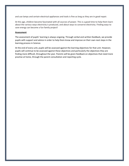and use lamps and certain electrical appliances and tools is fine as long as they are in good repair.

At this age, children become fascinated with all sources of power. This is a good time to help them learn about the various ways electricity is produced, and about ways to conserve electricity. Finding ways to save energy can become a fun family project!

#### **Assessment**

The assessment of pupils' learning is always ongoing. Through verbal and written feedback, we provide pupils with support and advice in order to help them know and improve on their own next steps in the learning process in Science.

At the end of every unit, pupils will be assessed against the learning objectives for that unit. However, pupils will continue to be assessed against these objectives and particularly the objectives they are finding more difficult, throughout the year. Parents will be given feedback on objectives that need more practise at home, through the parent consultation and reporting cycle.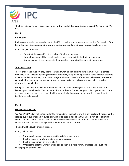

The International Primary Curriculum units for the first half term are *Brainwaves* and *We Are What We Eat.*

#### **Unit 1**

#### **Brainwaves**

Brainwaves is used as an introduction to the IPC curriculum and is taught over the first four weeks of the term. It deals with understanding how our brains work, and our different approaches to learning.

In this unit, children will:

- Know that they can affect the quality of their own learning
- Know about some of the recent evidence and research into the brain and learning
- Be able to apply these theories to their own learning and reflect on their importance

#### **Support at home**

Talk to children about how they like to learn and what kind of learning suits them best. For example, they may prefer to learn by doing something practically, or by watching a video. Some children prefer to move around while learning, or to have background noise. These preferences can be taken into account whilst children are doing homework. Share your own preferred styles of learning, which may be different to your child's.

During this unit, we also talk about the importance of sleep, drinking water, and a healthy diet for keeping your brain healthy. This can be reinforced at home. Ensure that your child is getting 10-12 hours of sleep, eating a balanced diet, and drinking water, including providing them with a reusable water bottle to bring to school.

#### **Unit 2**

# **We Are What We Eat**

We Are What We Eat will be taught for the remainder of the half term. This unit deals with food, and the role it plays in our lives and cultures, allowing us to keep in good health, and as a way of celebrating events. The unit finishes with a class trip where children can learn about how a commercial kitchen works, and with children sharing food from their own home countries.

The unit will be taught cross-curricular.

In Art, children will:

- Know about some of the forms used by artists in their work
- Be able to use a variety of materials and processes
- Be able to comment on works of art
- Understand that the work of artists can be seen in a wide variety of places and situations In Geography, children will: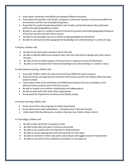- Know about similarities and differences between different localities
- Know about the weather and climatic conditions in particular localities and how they affect the environment and the lives of people living there
- Know that the world extends beyond their own locality and that the places they study exist within a broader geographical context
- Be able to use maps at a variety of scales to locate the position and simple geographical features of the host country and their home country
- Be able to use secondary sources to obtain simple geographical information
- Be able to communicate their geographical knowledge and understanding in a variety of ways

In History, children will:

- Be able to ask and answer questions about the past
- Be able to identify differences between their own lives and those of people who have lived in the past
- Be able to find out about aspects of the past from a range of sources of information
- Be able to communicate their historical knowledge and understanding in a variety of ways

In International Learning, children will:

- Know that children within the class and school have different home countries
- Know the names and approximate locations of the home countries of children within the class (and/or school)
- Know about some of the similarities and differences between the lives of children in the different home countries and in the host country
- Be able to respect one another's individuality and independence
- Be able to work with each other where appropriate
- Know about the importance of exercise and healthy eating

In Society Learning, children will:

- Know some of the rules of groups to which they belong
- Know about some major celebrations including some in the host country
- Understand that they belong to a number of groups (e.g. family, school, nation)

In Technology, children will:

- Be able to plan what they are going to make
- Be able to describe their plans in pictures and words
- Be able to use simple tools and materials to make products
- Be able to choose appropriate tools and materials for their tasks
- Be able to comment on their own plans and products and suggest areas of improvement
- Be able to comment on the usefulness of products in everyday use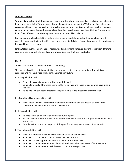#### **Support at Home**

Talk to children about their home country and countries where they have lived or visited, and where the food comes from. Is it different depending on the weather in the country? Talk about food when you grew up and how it has changed, and if possible, provide opportunities for children to talk to the older generation, for example grandparents, about how food has changed over their lifetime. For example, foods from different countries may have become more readily available.

Provide opportunities for children to help with preparing and shopping for their own food, and if possible, opportunities to visit coffee shops or restaurants. Talk to children about where this food comes from and how it is prepared.

Finally, talk about the importance of healthy food and drinking water, and eating foods from different groups: protein, carbohydrates, dairy and alternatives, and fruit and vegetables.

#### **Unit 3**

The IPC unit for the second half term is 'It's Shocking'.

This unit deals with electricity, what it is, and how we use it in our everyday lives. The unit is cross curricular and will have strong links to the Science curriculum.

In History, children will:

- Be able to ask and answer questions about the past
- Be able to identify differences between their own lives and those of people who have lived in the past
- Be able to find out about aspects of the past from a range of sources of information

In International Learning, children will:

 Know about some of the similarities and differences between the lives of children in the different home countries and in the host country

In History, children will:

- Be able to ask and answer questions about the past
- Be able to identify differences between their own lives and those of people who have lived in the past
- Be able to find out about aspects of the past from a range of sources of information

In Technology, children will:

- Know that products in everyday use have an effect on people's lives
- Be able to use simple tools and materials to make products
- Be able to choose appropriate tools and materials for their tasks
- Be able to comment on their own plans and products and suggest areas of improvement
- Be able to comment on the usefulness of products in everyday use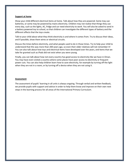#### **Support at home**

Show your child different electrical items at home. Talk about how they are powered. Some may use batteries, or some may be powered by mains electricity. Children may not realise that things they use every day, such as the lights, AC, fridge and car need electricity to work. You will also be asked to send in a battery powered toy to school, so that children can investigate the different types of battery and the different effects that the toys create.

Talk to your child about what they think electricity is and where it comes from. Try to discuss their ideas, and if possible, show them wires or electrical circuits.

Discuss the times before electricity, and what people used to do in those times. Try to help your child to understand that this was more than 200 years ago, so even their older relatives will not remember it! You can also talk about how toys and electrical items have developed over the years, and items that we take for granted such as iPads did not exist when you were young.

Finally, you can talk about how not every country has good access to electricity like we have in Oman. You may have even visited a country where some places have poor access to electricity or frequent power cuts. You can also help children learn how to save electricity, for example by turning off the light when they are not in a room, or by turning off a device when they are not using it.

#### **Assessment**

The assessment of pupils' learning in all units is always ongoing. Through verbal and written feedback, we provide pupils with support and advice in order to help them know and improve on their own next steps in the learning process for all areas of the International Primary Curriculum.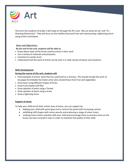

This term the students of Grade 2 will study art through the IPC units, 'We are what we eat' and "It's Shocking (Electricity)". They will focus on the healthy food and fruits and representing a lightening storm using artistic techniques.

# **Aims and Objectives:**

# **By the end of the unit, students will be able to:**

- Know about some of the forms used by artists in their work
- Use a variety of materials and processes.
- Comment on works of art
- Understand that the work of artists can be seen in a wide variety of places and situations

# **Skills Development**

# **During the course of this unit, students will:**

- Find examples of artists' work that has used food as a stimulus. This should include the work of Giuseppe Arcimboldo the Italian artist who created faces from fruit and vegetables.
- Draw faces using different shapes of fruits.
- Draw fruits basket (still life).
- Draw splashes of paint using a Thread
- Draw splashes of paint using a straw
- Draw a lightning storm

# **Support at home:**

To help your child enrich their artistic lives at home, you can support by:

- Helping your child with pencil grip and to control the pencil with increasing control.
- solidifying infill shapes with colour pencils and producing a range of colour tones.
- creating more artistic activities with your child and encourage them to practice more on the lesson we have covered in class in order to maximize the quality of their skills.